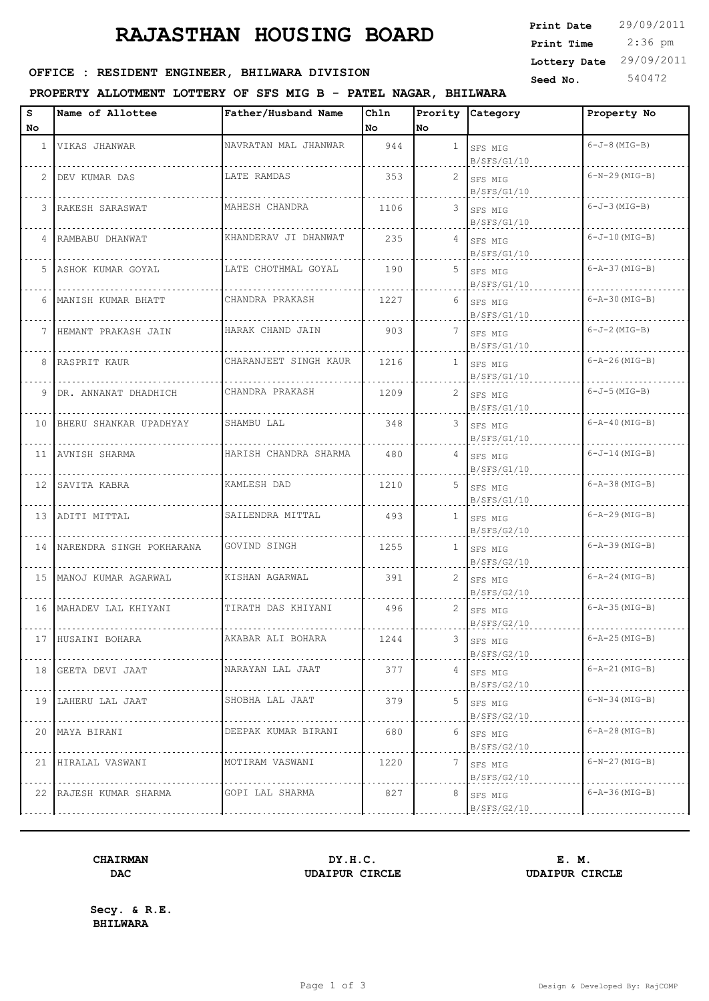# **RAJASTHAN HOUSING BOARD**

### **SEED OFFICE : RESIDENT ENGINEER, BHILWARA DIVISION**

#### **PROPERTY ALLOTMENT LOTTERY OF SFS MIG B - PATEL NAGAR, BHILWARA**

| s                     | Name of Allottee          | Father/Husband Name   | Ch1n |                      | Prority Category           | Property No           |
|-----------------------|---------------------------|-----------------------|------|----------------------|----------------------------|-----------------------|
| No                    |                           |                       | No   | No                   |                            |                       |
|                       | 1 VIKAS JHANWAR           | NAVRATAN MAL JHANWAR  | 944  | $\mathbf{1}$         | SFS MIG<br>B/SFS/G1/10     | $6 - J - 8$ (MIG-B)   |
| $\mathbf{2}^{\prime}$ | DEV KUMAR DAS             | LATE RAMDAS           | 353  | $\mathbf{2}^-$       | SFS MIG<br>B/SFS/G1/10     | $6-N-29$ (MIG-B)      |
| 3                     | RAKESH SARASWAT           | MAHESH CHANDRA        | 1106 | 3                    | SFS MIG<br>B/SFS/G1/10     | $6 - J - 3$ (MIG-B)   |
| 4                     | RAMBABU DHANWAT           | KHANDERAV JI DHANWAT  | 235  |                      | 4 SFS MIG<br>B/SFS/G1/10   | $6 - J - 10$ (MIG-B)  |
| 5                     | ASHOK KUMAR GOYAL         | LATE CHOTHMAL GOYAL   | 190  |                      | 5 SFS MIG<br>B/SFS/G1/10   | $6 - A - 37$ (MIG-B)  |
| 6                     | MANISH KUMAR BHATT        | CHANDRA PRAKASH       | 1227 | 6                    | SFS MIG<br>B/SFS/G1/10     | $6 - A - 30$ (MIG-B)  |
| 7                     | HEMANT PRAKASH JAIN       | HARAK CHAND JAIN      | 903  | 7                    | SFS MIG<br>B/SFS/G1/10     | $6 - J - 2 (MIG - B)$ |
| 8                     | RASPRIT KAUR              | CHARANJEET SINGH KAUR | 1216 | $\mathbf{1}$         | SFS MIG<br>B/SFS/G1/10     | $6 - A - 26$ (MIG-B)  |
| 9                     | DR. ANNANAT DHADHICH      | CHANDRA PRAKASH       | 1209 | 2                    | SFS MIG<br>B/SFS/G1/10     | $6 - J - 5$ (MIG-B)   |
|                       | 10 BHERU SHANKAR UPADHYAY | SHAMBU LAL            | 348  | 3                    | SFS MIG<br>B/SFS/G1/10     | $6 - A - 40$ (MIG-B)  |
| 11                    | AVNISH SHARMA             | HARISH CHANDRA SHARMA | 480  |                      | $4$ SFS MIG<br>B/SFS/G1/10 | $6 - J - 14 (MIG-B)$  |
| 12                    | SAVITA KABRA              | KAMLESH DAD           | 1210 |                      | 5 SFS MIG<br>B/SFS/G1/10   | $6 - A - 38$ (MIG-B)  |
|                       | 13 ADITI MITTAL           | SAILENDRA MITTAL      | 493  | $\mathbf{1}$         | SFS MIG<br>B/SFS/G2/10     | $6 - A - 29$ (MIG-B)  |
| 14                    | NARENDRA SINGH POKHARANA  | GOVIND SINGH          | 1255 | $\mathbf{1}$         | SFS MIG<br>B/SFS/G2/10     | $6 - A - 39$ (MIG-B)  |
| 15 I                  | MANOJ KUMAR AGARWAL       | KISHAN AGARWAL        | 391  | $\mathbf{2}^-$       | SFS MIG<br>B/SFS/G2/10     | $6 - A - 24$ (MIG-B)  |
|                       | 16 MAHADEV LAL KHIYANI    | TIRATH DAS KHIYANI    | 496  | $\mathbf{2}^{\circ}$ | SFS MIG<br>B/SFS/G2/10     | $6 - A - 35$ (MIG-B)  |
|                       | 17 HUSAINI BOHARA         | AKABAR ALI BOHARA     | 1244 | 3.                   | SFS MIG<br>B/SFS/G2/10     | $6 - A - 25$ (MIG-B)  |
| 18 <sup>1</sup>       | GEETA DEVI JAAT           | NARAYAN LAL JAAT      | 377  |                      | 4 SFS MIG<br>B/SFS/G2/10   | $6 - A - 21$ (MIG-B)  |
|                       | 19 LAHERU LAL JAAT        | SHOBHA LAL JAAT       | 379  | 5                    | SFS MIG<br>B/SFS/G2/10     | $6-N-34$ (MIG-B)      |
|                       | 20 MAYA BIRANI            | DEEPAK KUMAR BIRANI   | 680  | 6                    | SFS MIG<br>B/SFS/G2/10     | $6 - A - 28$ (MIG-B)  |
| 21                    | HIRALAL VASWANI           | MOTIRAM VASWANI       | 1220 | 7                    | SFS MIG<br>B/SFS/G2/10     | $6-N-27$ (MIG-B)      |
|                       | 22 RAJESH KUMAR SHARMA    | GOPI LAL SHARMA       | 827  | 8                    | SFS MIG<br>B/SFS/G2/10     | $6 - A - 36$ (MIG-B)  |
|                       |                           |                       |      |                      |                            |                       |

## **DAC UDAIPUR CIRCLE UDAIPUR CIRCLE**

**CHAIRMAN DY.H.C. E. M.**

**Secy. & R.E. BHILWARA**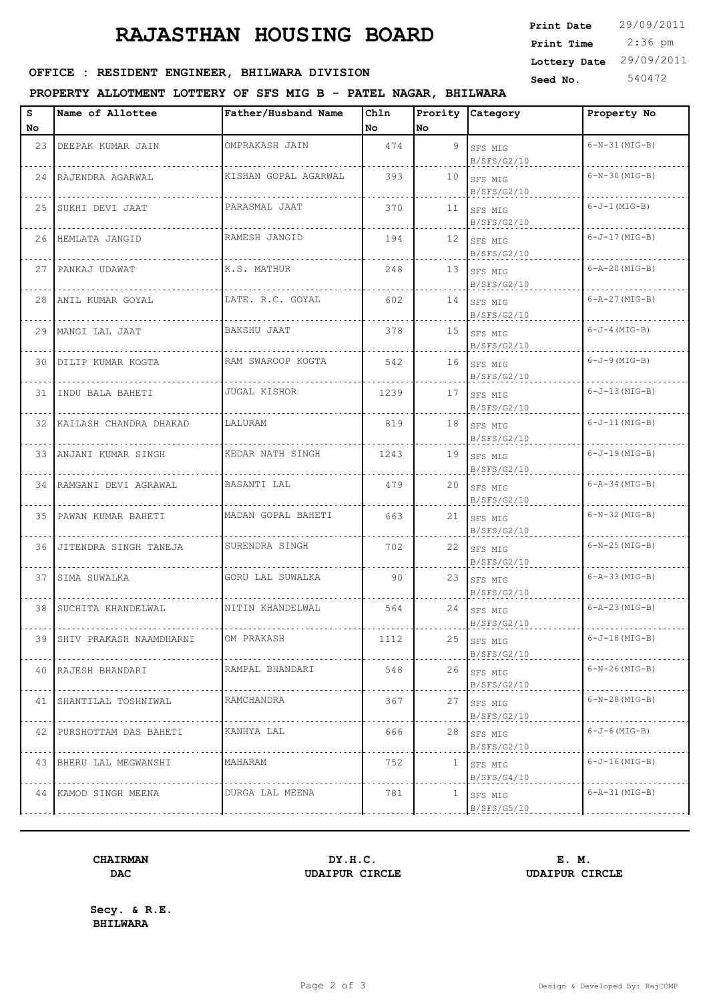# **RAJASTHAN HOUSING BOARD**

| <b>Print Date</b> | 29/09/2011 |
|-------------------|------------|
| Print Time        | $2:36$ pm  |
| Lottery Date      | 29/09/2011 |
| Seed No.          | 540472     |
|                   |            |

### **SEED OFFICE : RESIDENT ENGINEER, BHILWARA DIVISION**

#### **PROPERTY ALLOTMENT LOTTERY OF SFS MIG B - PATEL NAGAR, BHILWARA**

| s   | Name of Allottee             | Father/Husband Name  | Chln |              | Prority Category            | Property No          |
|-----|------------------------------|----------------------|------|--------------|-----------------------------|----------------------|
| No. |                              |                      | No   | No           |                             |                      |
| 23  | DEEPAK KUMAR JAIN            | OMPRAKASH JAIN       | 474  |              | 9 SFS MIG<br>B/SFS/G2/10    | $6-N-31$ (MIG-B)     |
|     | 24 RAJENDRA AGARWAL          | KISHAN GOPAL AGARWAL | 393  |              | $10$ SFS MIG<br>B/SFS/G2/10 | $6-N-30$ (MIG-B)     |
|     | 25 SUKHI DEVI JAAT           | PARASMAL JAAT        | 370  |              | 11 SFS MIG<br>B/SFS/G2/10   | $6-J-1$ (MIG-B)      |
|     | 26 HEMLATA JANGID            | RAMESH JANGID        | 194  |              | 12 SFS MIG<br>B/SFS/G2/10   | $6 - J - 17$ (MIG-B) |
|     | 27 PANKAJ UDAWAT             | K.S. MATHUR          | 248  |              | 13 SFS MIG<br>B/SFS/G2/10   | $6 - A - 20$ (MIG-B) |
|     | 28  ANIL KUMAR GOYAL         | LATE. R.C. GOYAL     | 602  |              | $14$ SFS MIG<br>B/SFS/G2/10 | $6 - A - 27$ (MIG-B) |
|     | 29   MANGI LAL JAAT          | BAKSHU JAAT          | 378  |              | 15 SFS MIG<br>B/SFS/G2/10   | $6-J-4$ (MIG-B)      |
|     | 30   DILIP KUMAR KOGTA       | RAM SWAROOP KOGTA    | 542  |              | $16$ SFS MIG<br>B/SFS/G2/10 | $6 - J - 9$ (MIG-B)  |
|     | 31 INDU BALA BAHETI          | <b>JUGAL KISHOR</b>  | 1239 |              | $17$ SFS MIG<br>B/SFS/G2/10 | $6 - J - 13$ (MIG-B) |
|     | 32 KAILASH CHANDRA DHAKAD    | LALURAM              | 819  |              | $18$ SFS MIG<br>B/SFS/G2/10 | $6 - J - 11$ (MIG-B) |
|     | 33   ANJANI KUMAR SINGH      | KEDAR NATH SINGH     | 1243 |              | $19$ SFS MIG<br>B/SFS/G2/10 | $6 - J - 19$ (MIG-B) |
|     | 34   RAMGANI DEVI AGRAWAL    | BASANTI LAL          | 479  |              | 20 SFS MIG<br>B/SFS/G2/10   | $6 - A - 34$ (MIG-B) |
|     | 35 PAWAN KUMAR BAHETI        | MADAN GOPAL BAHETI   | 663  |              | $21$ SFS MIG<br>B/SFS/G2/10 | $6-N-32$ (MIG-B)     |
|     | 36 JITENDRA SINGH TANEJA     | SURENDRA SINGH       | 702  |              | 22 SFS MIG<br>B/SFS/G2/10   | $6-N-25$ (MIG-B)     |
|     | 37 SIMA SUWALKA              | GORU LAL SUWALKA     | 90   |              | 23 SFS MIG<br>B/SFS/G2/10   | $6 - A - 33$ (MIG-B) |
|     | 38 SUCHITA KHANDELWAL        | NITIN KHANDELWAL     | 564  |              | 24 SFS MIG<br>B/SFS/G2/10   | $6 - A - 23$ (MIG-B) |
|     | 39   SHIV PRAKASH NAAMDHARNI | OM PRAKASH           | 1112 |              | 25 SFS MIG<br>B/SFS/G2/10   | $6 - J - 18$ (MIG-B) |
|     | 40 RAJESH BHANDARI           | RAMPAL BHANDARI      | 548  |              | $26$ SFS MIG<br>B/SFS/G2/10 | $6-N-26$ (MIG-B)     |
|     | 41   SHANTILAL TOSHNIWAL     | RAMCHANDRA           | 367  |              | 27 SFS MIG<br>B/SFS/G2/10   | $6-N-28$ (MIG-B)     |
|     | 42   PURSHOTTAM DAS BAHETI   | KANHYA LAL           | 666  |              | $28$ SFS MIG<br>B/SFS/G2/10 | $6 - J - 6$ (MIG-B)  |
|     | 43 BHERU LAL MEGWANSHI       | MAHARAM              | 752  | $\mathbf{1}$ | SFS MIG<br>B/SFS/G4/10      | $6 - J - 16$ (MIG-B) |
|     | 44 KAMOD SINGH MEENA         | DURGA LAL MEENA      | 781  | 1            | SFS MIG<br>B/SFS/G5/10      | $6 - A - 31$ (MIG-B) |
|     |                              |                      |      |              |                             |                      |

## **DAC UDAIPUR CIRCLE UDAIPUR CIRCLE**

**CHAIRMAN DY.H.C. E. M.**

**Secy. & R.E. BHILWARA**